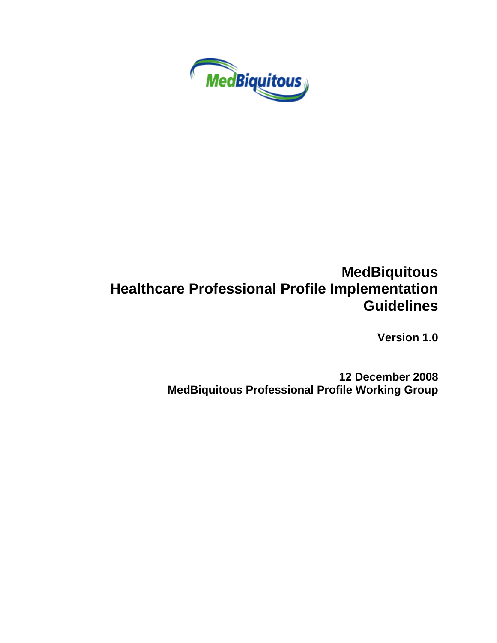

# **MedBiquitous Healthcare Professional Profile Implementation Guidelines**

**Version 1.0**

**12 December 2008 MedBiquitous Professional Profile Working Group**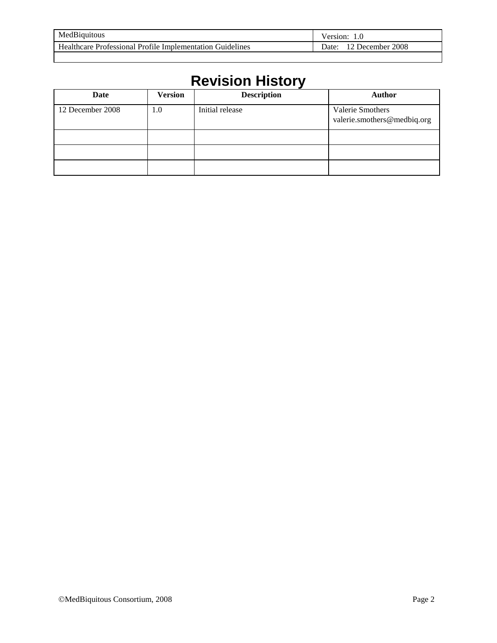| MedBiquitous                                              | Version:                         |
|-----------------------------------------------------------|----------------------------------|
| Healthcare Professional Profile Implementation Guidelines | 2008<br>)ate:<br><b>Jecember</b> |
|                                                           |                                  |

# **Revision History**

| Date             | <b>Version</b> | <b>Description</b> | <b>Author</b>                                   |
|------------------|----------------|--------------------|-------------------------------------------------|
| 12 December 2008 | 1.0            | Initial release    | Valerie Smothers<br>valerie.smothers@medbiq.org |
|                  |                |                    |                                                 |
|                  |                |                    |                                                 |
|                  |                |                    |                                                 |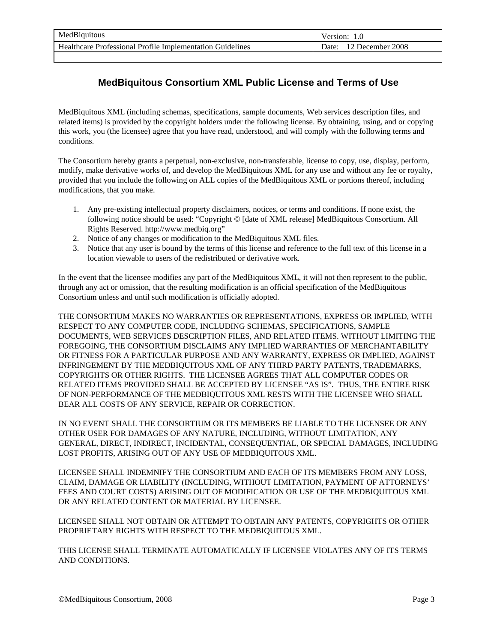| MedBiquitous                                              | /ersion:               |
|-----------------------------------------------------------|------------------------|
| Healthcare Professional Profile Implementation Guidelines | December 2008<br>Date: |

# **MedBiquitous Consortium XML Public License and Terms of Use**

MedBiquitous XML (including schemas, specifications, sample documents, Web services description files, and related items) is provided by the copyright holders under the following license. By obtaining, using, and or copying this work, you (the licensee) agree that you have read, understood, and will comply with the following terms and conditions.

The Consortium hereby grants a perpetual, non-exclusive, non-transferable, license to copy, use, display, perform, modify, make derivative works of, and develop the MedBiquitous XML for any use and without any fee or royalty, provided that you include the following on ALL copies of the MedBiquitous XML or portions thereof, including modifications, that you make.

- 1. Any pre-existing intellectual property disclaimers, notices, or terms and conditions. If none exist, the following notice should be used: "Copyright © [date of XML release] MedBiquitous Consortium. All Rights Reserved. http://www.medbiq.org"
- 2. Notice of any changes or modification to the MedBiquitous XML files.
- 3. Notice that any user is bound by the terms of this license and reference to the full text of this license in a location viewable to users of the redistributed or derivative work.

In the event that the licensee modifies any part of the MedBiquitous XML, it will not then represent to the public, through any act or omission, that the resulting modification is an official specification of the MedBiquitous Consortium unless and until such modification is officially adopted.

THE CONSORTIUM MAKES NO WARRANTIES OR REPRESENTATIONS, EXPRESS OR IMPLIED, WITH RESPECT TO ANY COMPUTER CODE, INCLUDING SCHEMAS, SPECIFICATIONS, SAMPLE DOCUMENTS, WEB SERVICES DESCRIPTION FILES, AND RELATED ITEMS. WITHOUT LIMITING THE FOREGOING, THE CONSORTIUM DISCLAIMS ANY IMPLIED WARRANTIES OF MERCHANTABILITY OR FITNESS FOR A PARTICULAR PURPOSE AND ANY WARRANTY, EXPRESS OR IMPLIED, AGAINST INFRINGEMENT BY THE MEDBIQUITOUS XML OF ANY THIRD PARTY PATENTS, TRADEMARKS, COPYRIGHTS OR OTHER RIGHTS. THE LICENSEE AGREES THAT ALL COMPUTER CODES OR RELATED ITEMS PROVIDED SHALL BE ACCEPTED BY LICENSEE "AS IS". THUS, THE ENTIRE RISK OF NON-PERFORMANCE OF THE MEDBIQUITOUS XML RESTS WITH THE LICENSEE WHO SHALL BEAR ALL COSTS OF ANY SERVICE, REPAIR OR CORRECTION.

IN NO EVENT SHALL THE CONSORTIUM OR ITS MEMBERS BE LIABLE TO THE LICENSEE OR ANY OTHER USER FOR DAMAGES OF ANY NATURE, INCLUDING, WITHOUT LIMITATION, ANY GENERAL, DIRECT, INDIRECT, INCIDENTAL, CONSEQUENTIAL, OR SPECIAL DAMAGES, INCLUDING LOST PROFITS, ARISING OUT OF ANY USE OF MEDBIQUITOUS XML.

LICENSEE SHALL INDEMNIFY THE CONSORTIUM AND EACH OF ITS MEMBERS FROM ANY LOSS, CLAIM, DAMAGE OR LIABILITY (INCLUDING, WITHOUT LIMITATION, PAYMENT OF ATTORNEYS' FEES AND COURT COSTS) ARISING OUT OF MODIFICATION OR USE OF THE MEDBIQUITOUS XML OR ANY RELATED CONTENT OR MATERIAL BY LICENSEE.

LICENSEE SHALL NOT OBTAIN OR ATTEMPT TO OBTAIN ANY PATENTS, COPYRIGHTS OR OTHER PROPRIETARY RIGHTS WITH RESPECT TO THE MEDBIQUITOUS XML.

THIS LICENSE SHALL TERMINATE AUTOMATICALLY IF LICENSEE VIOLATES ANY OF ITS TERMS AND CONDITIONS.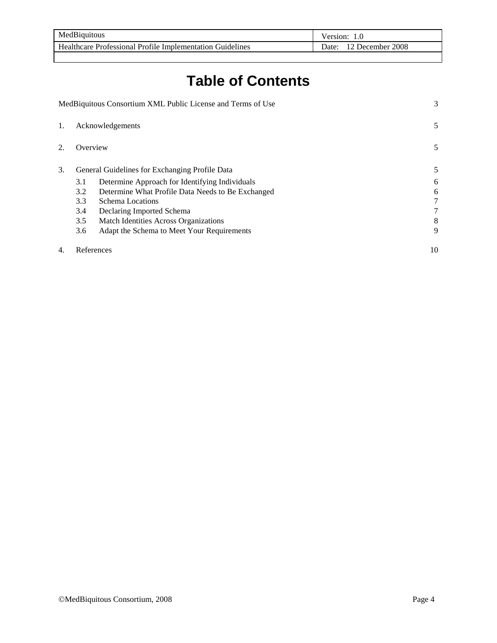| MedBiquitous                                                     | Version:                   |
|------------------------------------------------------------------|----------------------------|
| <b>Healthcare Professional Profile Implementation Guidelines</b> | 2008<br>December.<br>)ate: |

# **Table of Contents**

|    | MedBiquitous Consortium XML Public License and Terms of Use |                                                   | 3  |
|----|-------------------------------------------------------------|---------------------------------------------------|----|
| 1. | Acknowledgements                                            |                                                   | 5  |
| 2. | Overview                                                    |                                                   | 5  |
| 3. |                                                             | General Guidelines for Exchanging Profile Data    | 5  |
|    | 3.1                                                         | Determine Approach for Identifying Individuals    | 6  |
|    | 3.2                                                         | Determine What Profile Data Needs to Be Exchanged | 6  |
|    | 3.3<br>Schema Locations                                     |                                                   | 7  |
|    | 3.4                                                         | Declaring Imported Schema                         | 7  |
|    | 3.5                                                         | Match Identities Across Organizations             | 8  |
|    | 3.6                                                         | Adapt the Schema to Meet Your Requirements        | 9  |
| 4. | References                                                  |                                                   | 10 |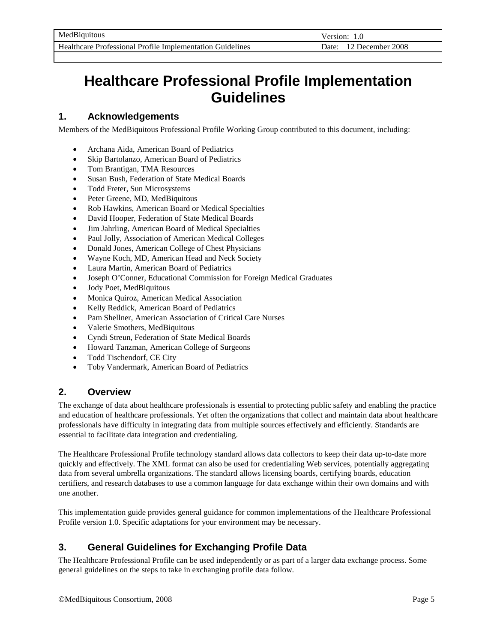| MedBiquitous                                              | /ersion:                 |
|-----------------------------------------------------------|--------------------------|
| Healthcare Professional Profile Implementation Guidelines | 2008<br>December<br>Jate |

# **Healthcare Professional Profile Implementation Guidelines**

# **1. Acknowledgements**

Members of the MedBiquitous Professional Profile Working Group contributed to this document, including:

- Archana Aida, American Board of Pediatrics
- Skip Bartolanzo, American Board of Pediatrics
- Tom Brantigan, TMA Resources
- Susan Bush, Federation of State Medical Boards
- Todd Freter, Sun Microsystems
- Peter Greene, MD, MedBiquitous
- Rob Hawkins, American Board or Medical Specialties
- David Hooper, Federation of State Medical Boards
- Jim Jahrling, American Board of Medical Specialties
- Paul Jolly, Association of American Medical Colleges
- Donald Jones, American College of Chest Physicians
- Wayne Koch, MD, American Head and Neck Society
- Laura Martin, American Board of Pediatrics
- Joseph O'Conner, Educational Commission for Foreign Medical Graduates
- Jody Poet, MedBiquitous
- Monica Quiroz, American Medical Association
- Kelly Reddick, American Board of Pediatrics
- Pam Shellner, American Association of Critical Care Nurses
- Valerie Smothers, MedBiquitous
- Cyndi Streun, Federation of State Medical Boards
- Howard Tanzman, American College of Surgeons
- Todd Tischendorf, CE City
- Toby Vandermark, American Board of Pediatrics

# **2. Overview**

The exchange of data about healthcare professionals is essential to protecting public safety and enabling the practice and education of healthcare professionals. Yet often the organizations that collect and maintain data about healthcare professionals have difficulty in integrating data from multiple sources effectively and efficiently. Standards are essential to facilitate data integration and credentialing.

The Healthcare Professional Profile technology standard allows data collectors to keep their data up-to-date more quickly and effectively. The XML format can also be used for credentialing Web services, potentially aggregating data from several umbrella organizations. The standard allows licensing boards, certifying boards, education certifiers, and research databases to use a common language for data exchange within their own domains and with one another.

This implementation guide provides general guidance for common implementations of the Healthcare Professional Profile version 1.0. Specific adaptations for your environment may be necessary.

# **3. General Guidelines for Exchanging Profile Data**

The Healthcare Professional Profile can be used independently or as part of a larger data exchange process. Some general guidelines on the steps to take in exchanging profile data follow.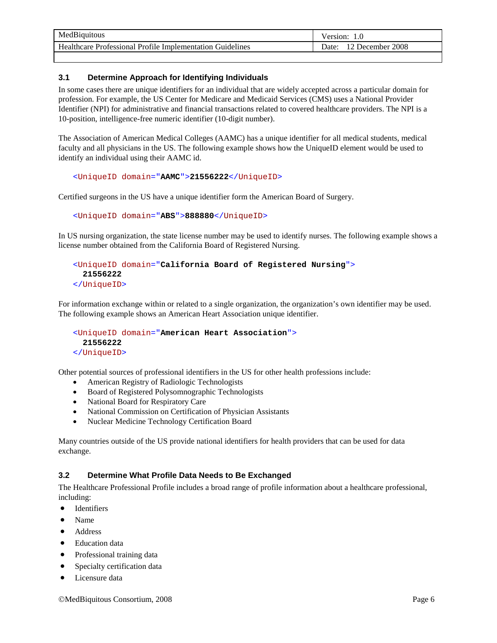|                                                                    | /ersion:      |
|--------------------------------------------------------------------|---------------|
| Healthcare Professional Profile Implementation Guidelines<br>Date: | December 2008 |

## **3.1 Determine Approach for Identifying Individuals**

In some cases there are unique identifiers for an individual that are widely accepted across a particular domain for profession. For example, the US Center for Medicare and Medicaid Services (CMS) uses a National Provider Identifier (NPI) for administrative and financial transactions related to covered healthcare providers. The NPI is a 10-position, intelligence-free numeric identifier (10-digit number).

The Association of American Medical Colleges (AAMC) has a unique identifier for all medical students, medical faculty and all physicians in the US. The following example shows how the UniqueID element would be used to identify an individual using their AAMC id.

#### <UniqueID domain="**AAMC**">**21556222**</UniqueID>

Certified surgeons in the US have a unique identifier form the American Board of Surgery.

#### <UniqueID domain="**ABS**">**888880**</UniqueID>

In US nursing organization, the state license number may be used to identify nurses. The following example shows a license number obtained from the California Board of Registered Nursing.

```
<UniqueID domain="California Board of Registered Nursing"> 
   21556222
</UniqueID>
```
For information exchange within or related to a single organization, the organization's own identifier may be used. The following example shows an American Heart Association unique identifier.

```
<UniqueID domain="American Heart Association"> 
   21556222
</UniqueID>
```
Other potential sources of professional identifiers in the US for other health professions include:

- American Registry of Radiologic Technologists
- Board of Registered Polysomnographic Technologists
- National Board for Respiratory Care
- National Commission on Certification of Physician Assistants
- Nuclear Medicine Technology Certification Board

Many countries outside of the US provide national identifiers for health providers that can be used for data exchange.

### **3.2 Determine What Profile Data Needs to Be Exchanged**

The Healthcare Professional Profile includes a broad range of profile information about a healthcare professional, including:

- Identifiers
- Name
- Address
- Education data
- Professional training data
- Specialty certification data
- Licensure data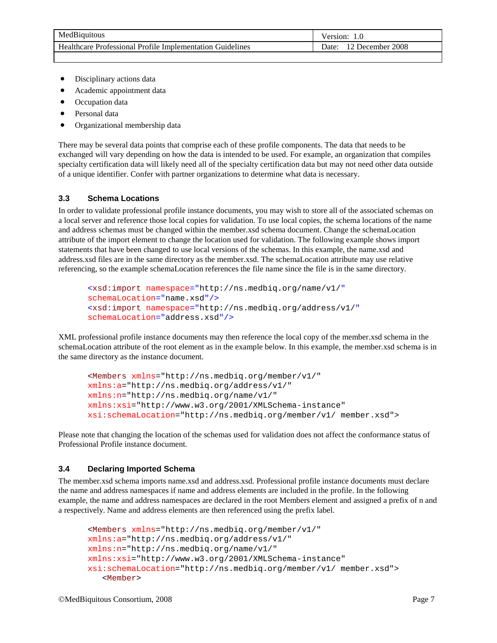- Disciplinary actions data
- Academic appointment data
- Occupation data
- Personal data
- Organizational membership data

There may be several data points that comprise each of these profile components. The data that needs to be exchanged will vary depending on how the data is intended to be used. For example, an organization that compiles specialty certification data will likely need all of the specialty certification data but may not need other data outside of a unique identifier. Confer with partner organizations to determine what data is necessary.

### **3.3 Schema Locations**

In order to validate professional profile instance documents, you may wish to store all of the associated schemas on a local server and reference those local copies for validation. To use local copies, the schema locations of the name and address schemas must be changed within the member.xsd schema document. Change the schemaLocation attribute of the import element to change the location used for validation. The following example shows import statements that have been changed to use local versions of the schemas. In this example, the name.xsd and address.xsd files are in the same directory as the member.xsd. The schemaLocation attribute may use relative referencing, so the example schemaLocation references the file name since the file is in the same directory.

```
<xsd:import namespace="http://ns.medbiq.org/name/v1/"
schemaLocation="name.xsd"/>
<xsd:import namespace="http://ns.medbiq.org/address/v1/"
schemaLocation="address.xsd"/>
```
XML professional profile instance documents may then reference the local copy of the member.xsd schema in the schemaLocation attribute of the root element as in the example below. In this example, the member.xsd schema is in the same directory as the instance document.

```
<Members xmlns="http://ns.medbiq.org/member/v1/"
xmlns:a="http://ns.medbiq.org/address/v1/"
xmlns:n="http://ns.medbiq.org/name/v1/"
xmlns:xsi="http://www.w3.org/2001/XMLSchema-instance"
xsi:schemaLocation="http://ns.medbiq.org/member/v1/ member.xsd">
```
Please note that changing the location of the schemas used for validation does not affect the conformance status of Professional Profile instance document.

### **3.4 Declaring Imported Schema**

The member.xsd schema imports name.xsd and address.xsd. Professional profile instance documents must declare the name and address namespaces if name and address elements are included in the profile. In the following example, the name and address namespaces are declared in the root Members element and assigned a prefix of n and a respectively. Name and address elements are then referenced using the prefix label.

```
<Members xmlns="http://ns.medbiq.org/member/v1/"
xmlns:a="http://ns.medbiq.org/address/v1/"
xmlns:n="http://ns.medbiq.org/name/v1/"
xmlns:xsi="http://www.w3.org/2001/XMLSchema-instance"
xsi:schemaLocation="http://ns.medbiq.org/member/v1/ member.xsd">
   <Member>
```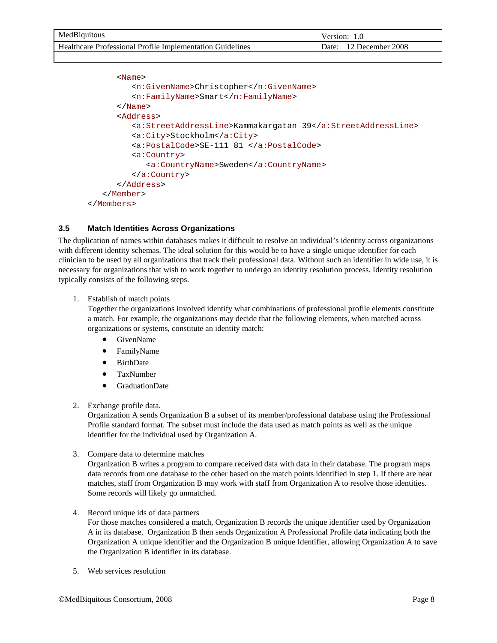| MedBiquitous                                              | ersion:                      |
|-----------------------------------------------------------|------------------------------|
| Healthcare Professional Profile Implementation Guidelines | 2008<br>December .<br>.)ate∙ |
|                                                           |                              |

```
<Name>
         <n:GivenName>Christopher</n:GivenName>
         <n:FamilyName>Smart</n:FamilyName>
      </Name>
      <Address>
         <a:StreetAddressLine>Kammakargatan 39</a:StreetAddressLine>
         <a:City>Stockholm</a:City>
         <a:PostalCode>SE-111 81 </a:PostalCode>
         <a:Country>
            <a:CountryName>Sweden</a:CountryName>
         </a:Country>
      </Address>
   </Member>
</Members>
```
## **3.5 Match Identities Across Organizations**

The duplication of names within databases makes it difficult to resolve an individual's identity across organizations with different identity schemas. The ideal solution for this would be to have a single unique identifier for each clinician to be used by all organizations that track their professional data. Without such an identifier in wide use, it is necessary for organizations that wish to work together to undergo an identity resolution process. Identity resolution typically consists of the following steps.

1. Establish of match points

Together the organizations involved identify what combinations of professional profile elements constitute a match. For example, the organizations may decide that the following elements, when matched across organizations or systems, constitute an identity match:

- GivenName
- FamilyName
- BirthDate
- TaxNumber
- GraduationDate
- 2. Exchange profile data.

Organization A sends Organization B a subset of its member/professional database using the Professional Profile standard format. The subset must include the data used as match points as well as the unique identifier for the individual used by Organization A.

3. Compare data to determine matches

Organization B writes a program to compare received data with data in their database. The program maps data records from one database to the other based on the match points identified in step 1. If there are near matches, staff from Organization B may work with staff from Organization A to resolve those identities. Some records will likely go unmatched.

4. Record unique ids of data partners

For those matches considered a match, Organization B records the unique identifier used by Organization A in its database. Organization B then sends Organization A Professional Profile data indicating both the Organization A unique identifier and the Organization B unique Identifier, allowing Organization A to save the Organization B identifier in its database.

5. Web services resolution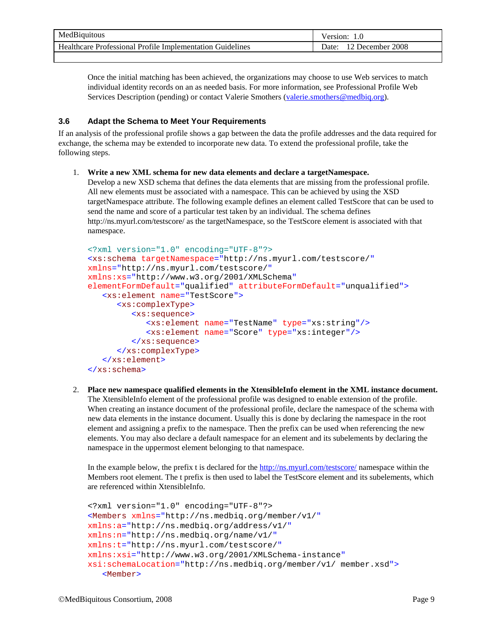| MedBiquitous                                                  | ersion/                    |
|---------------------------------------------------------------|----------------------------|
| Professional Profile Implementation Guidelines<br>Healthcare, | 2008<br>December .<br>Jate |

Once the initial matching has been achieved, the organizations may choose to use Web services to match individual identity records on an as needed basis. For more information, see Professional Profile Web Services Description (pending) or contact Valerie Smothers [\(valerie.smothers@medbiq.org\)](mailto:valerie.smothers@medbiq.org).

## **3.6 Adapt the Schema to Meet Your Requirements**

If an analysis of the professional profile shows a gap between the data the profile addresses and the data required for exchange, the schema may be extended to incorporate new data. To extend the professional profile, take the following steps.

### 1. **Write a new XML schema for new data elements and declare a targetNamespace.**

Develop a new XSD schema that defines the data elements that are missing from the professional profile. All new elements must be associated with a namespace. This can be achieved by using the XSD targetNamespace attribute. The following example defines an element called TestScore that can be used to send the name and score of a particular test taken by an individual. The schema defines http://ns.myurl.com/testscore/ as the targetNamespace, so the TestScore element is associated with that namespace.

```
<?xml version="1.0" encoding="UTF-8"?>
<xs:schema targetNamespace="http://ns.myurl.com/testscore/"
xmlns="http://ns.myurl.com/testscore/"
xmlns:xs="http://www.w3.org/2001/XMLSchema"
elementFormDefault="qualified" attributeFormDefault="unqualified">
   <xs:element name="TestScore">
      <xs:complexType>
         <xs:sequence>
            <xs:element name="TestName" type="xs:string"/>
            <xs:element name="Score" type="xs:integer"/>
         </xs:sequence>
      </xs:complexType>
   </xs:element>
</xs:schema>
```
2. **Place new namespace qualified elements in the XtensibleInfo element in the XML instance document.** The XtensibleInfo element of the professional profile was designed to enable extension of the profile. When creating an instance document of the professional profile, declare the namespace of the schema with new data elements in the instance document. Usually this is done by declaring the namespace in the root element and assigning a prefix to the namespace. Then the prefix can be used when referencing the new elements. You may also declare a default namespace for an element and its subelements by declaring the namespace in the uppermost element belonging to that namespace.

In the example below, the prefix t is declared for the<http://ns.myurl.com/testscore/> namespace within the Members root element. The t prefix is then used to label the TestScore element and its subelements, which are referenced within XtensibleInfo.

```
<?xml version="1.0" encoding="UTF-8"?>
<Members xmlns="http://ns.medbiq.org/member/v1/"
xmlns:a="http://ns.medbiq.org/address/v1/"
xmlns:n="http://ns.medbiq.org/name/v1/"
xmlns:t="http://ns.myurl.com/testscore/"
xmlns:xsi="http://www.w3.org/2001/XMLSchema-instance"
xsi:schemaLocation="http://ns.medbiq.org/member/v1/ member.xsd">
   <Member>
```